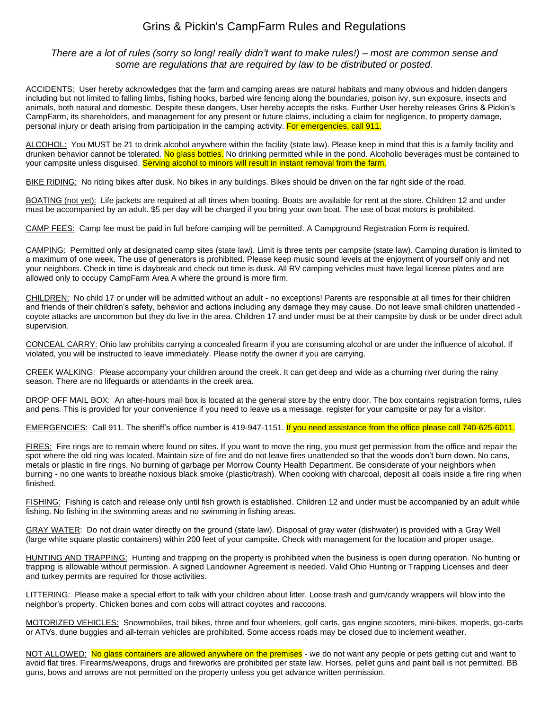## Grins & Pickin's CampFarm Rules and Regulations

## *There are a lot of rules (sorry so long! really didn't want to make rules!) – most are common sense and some are regulations that are required by law to be distributed or posted.*

ACCIDENTS: User hereby acknowledges that the farm and camping areas are natural habitats and many obvious and hidden dangers including but not limited to falling limbs, fishing hooks, barbed wire fencing along the boundaries, poison ivy, sun exposure, insects and animals, both natural and domestic. Despite these dangers, User hereby accepts the risks. Further User hereby releases Grins & Pickin's CampFarm, its shareholders, and management for any present or future claims, including a claim for negligence, to property damage, personal injury or death arising from participation in the camping activity. For emergencies, call 911.

ALCOHOL: You MUST be 21 to drink alcohol anywhere within the facility (state law). Please keep in mind that this is a family facility and drunken behavior cannot be tolerated. No glass bottles. No drinking permitted while in the pond. Alcoholic beverages must be contained to your campsite unless disguised. Serving alcohol to minors will result in instant removal from the farm.

BIKE RIDING: No riding bikes after dusk. No bikes in any buildings. Bikes should be driven on the far right side of the road.

BOATING (not yet): Life jackets are required at all times when boating. Boats are available for rent at the store. Children 12 and under must be accompanied by an adult. \$5 per day will be charged if you bring your own boat. The use of boat motors is prohibited.

CAMP FEES: Camp fee must be paid in full before camping will be permitted. A Campground Registration Form is required.

CAMPING: Permitted only at designated camp sites (state law). Limit is three tents per campsite (state law). Camping duration is limited to a maximum of one week. The use of generators is prohibited. Please keep music sound levels at the enjoyment of yourself only and not your neighbors. Check in time is daybreak and check out time is dusk. All RV camping vehicles must have legal license plates and are allowed only to occupy CampFarm Area A where the ground is more firm.

CHILDREN: No child 17 or under will be admitted without an adult - no exceptions! Parents are responsible at all times for their children and friends of their children's safety, behavior and actions including any damage they may cause. Do not leave small children unattended coyote attacks are uncommon but they do live in the area. Children 17 and under must be at their campsite by dusk or be under direct adult supervision.

CONCEAL CARRY: Ohio law prohibits carrying a concealed firearm if you are consuming alcohol or are under the influence of alcohol. If violated, you will be instructed to leave immediately. Please notify the owner if you are carrying.

CREEK WALKING: Please accompany your children around the creek. It can get deep and wide as a churning river during the rainy season. There are no lifeguards or attendants in the creek area.

DROP OFF MAIL BOX: An after-hours mail box is located at the general store by the entry door. The box contains registration forms, rules and pens. This is provided for your convenience if you need to leave us a message, register for your campsite or pay for a visitor.

EMERGENCIES: Call 911. The sheriff's office number is 419-947-1151. If you need assistance from the office please call 740-625-6011.

FIRES: Fire rings are to remain where found on sites. If you want to move the ring, you must get permission from the office and repair the spot where the old ring was located. Maintain size of fire and do not leave fires unattended so that the woods don't burn down. No cans, metals or plastic in fire rings. No burning of garbage per Morrow County Health Department. Be considerate of your neighbors when burning - no one wants to breathe noxious black smoke (plastic/trash). When cooking with charcoal, deposit all coals inside a fire ring when finished.

FISHING: Fishing is catch and release only until fish growth is established. Children 12 and under must be accompanied by an adult while fishing. No fishing in the swimming areas and no swimming in fishing areas.

GRAY WATER: Do not drain water directly on the ground (state law). Disposal of gray water (dishwater) is provided with a Gray Well (large white square plastic containers) within 200 feet of your campsite. Check with management for the location and proper usage.

HUNTING AND TRAPPING: Hunting and trapping on the property is prohibited when the business is open during operation. No hunting or trapping is allowable without permission. A signed Landowner Agreement is needed. Valid Ohio Hunting or Trapping Licenses and deer and turkey permits are required for those activities.

LITTERING: Please make a special effort to talk with your children about litter. Loose trash and gum/candy wrappers will blow into the neighbor's property. Chicken bones and corn cobs will attract coyotes and raccoons.

MOTORIZED VEHICLES: Snowmobiles, trail bikes, three and four wheelers, golf carts, gas engine scooters, mini-bikes, mopeds, go-carts or ATVs, dune buggies and all-terrain vehicles are prohibited. Some access roads may be closed due to inclement weather.

NOT ALLOWED: No glass containers are allowed anywhere on the premises - we do not want any people or pets getting cut and want to avoid flat tires. Firearms/weapons, drugs and fireworks are prohibited per state law. Horses, pellet guns and paint ball is not permitted. BB guns, bows and arrows are not permitted on the property unless you get advance written permission.